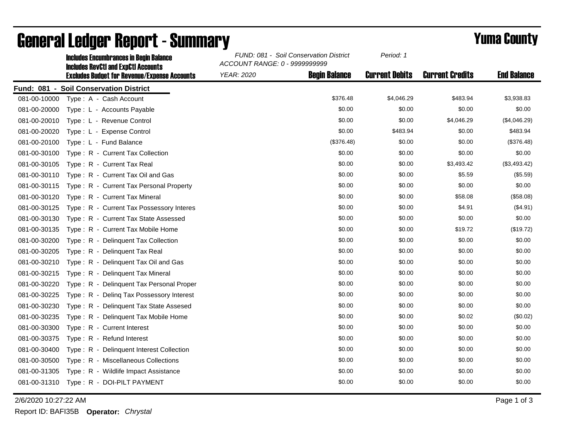|              | <b>Includes Encumbrances in Begin Balance</b><br><b>Includes RevCtI and ExpCtI Accounts</b><br><b>Excludes Budget for Revenue/Expense Accounts</b> | FUND: 081 - Soil Conservation District<br>ACCOUNT RANGE: 0 - 9999999999 |                      | Period: 1             |                        |                    |
|--------------|----------------------------------------------------------------------------------------------------------------------------------------------------|-------------------------------------------------------------------------|----------------------|-----------------------|------------------------|--------------------|
|              |                                                                                                                                                    | <b>YEAR: 2020</b>                                                       | <b>Begin Balance</b> | <b>Current Debits</b> | <b>Current Credits</b> | <b>End Balance</b> |
|              | Fund: 081 - Soil Conservation District                                                                                                             |                                                                         |                      |                       |                        |                    |
| 081-00-10000 | Type: A - Cash Account                                                                                                                             |                                                                         | \$376.48             | \$4,046.29            | \$483.94               | \$3,938.83         |
| 081-00-20000 | Type: L - Accounts Payable                                                                                                                         |                                                                         | \$0.00               | \$0.00                | \$0.00                 | \$0.00             |
| 081-00-20010 | Type: L - Revenue Control                                                                                                                          |                                                                         | \$0.00               | \$0.00                | \$4,046.29             | (\$4,046.29)       |
| 081-00-20020 | Type: L - Expense Control                                                                                                                          |                                                                         | \$0.00               | \$483.94              | \$0.00                 | \$483.94           |
| 081-00-20100 | Type: L - Fund Balance                                                                                                                             |                                                                         | (\$376.48)           | \$0.00                | \$0.00                 | (\$376.48)         |
| 081-00-30100 | Type: R - Current Tax Collection                                                                                                                   |                                                                         | \$0.00               | \$0.00                | \$0.00                 | \$0.00             |
| 081-00-30105 | Type: R - Current Tax Real                                                                                                                         |                                                                         | \$0.00               | \$0.00                | \$3,493.42             | (\$3,493.42)       |
| 081-00-30110 | Type: R - Current Tax Oil and Gas                                                                                                                  |                                                                         | \$0.00               | \$0.00                | \$5.59                 | (\$5.59)           |
| 081-00-30115 | Type: R - Current Tax Personal Property                                                                                                            |                                                                         | \$0.00               | \$0.00                | \$0.00                 | \$0.00             |
| 081-00-30120 | Type: R - Current Tax Mineral                                                                                                                      |                                                                         | \$0.00               | \$0.00                | \$58.08                | (\$58.08)          |
| 081-00-30125 | Type: R - Current Tax Possessory Interes                                                                                                           |                                                                         | \$0.00               | \$0.00                | \$4.91                 | (\$4.91)           |
| 081-00-30130 | Type: R - Current Tax State Assessed                                                                                                               |                                                                         | \$0.00               | \$0.00                | \$0.00                 | \$0.00             |
| 081-00-30135 | Type: R - Current Tax Mobile Home                                                                                                                  |                                                                         | \$0.00               | \$0.00                | \$19.72                | (\$19.72)          |
| 081-00-30200 | Type: R - Delinquent Tax Collection                                                                                                                |                                                                         | \$0.00               | \$0.00                | \$0.00                 | \$0.00             |
| 081-00-30205 | Type: R - Delinquent Tax Real                                                                                                                      |                                                                         | \$0.00               | \$0.00                | \$0.00                 | \$0.00             |
| 081-00-30210 | Type: R - Delinquent Tax Oil and Gas                                                                                                               |                                                                         | \$0.00               | \$0.00                | \$0.00                 | \$0.00             |
| 081-00-30215 | Type: R - Delinquent Tax Mineral                                                                                                                   |                                                                         | \$0.00               | \$0.00                | \$0.00                 | \$0.00             |
| 081-00-30220 | Type: R - Delinquent Tax Personal Proper                                                                                                           |                                                                         | \$0.00               | \$0.00                | \$0.00                 | \$0.00             |
| 081-00-30225 | Type: R - Deling Tax Possessory Interest                                                                                                           |                                                                         | \$0.00               | \$0.00                | \$0.00                 | \$0.00             |
| 081-00-30230 | Type: R - Delinguent Tax State Assesed                                                                                                             |                                                                         | \$0.00               | \$0.00                | \$0.00                 | \$0.00             |
| 081-00-30235 | Type: R - Delinquent Tax Mobile Home                                                                                                               |                                                                         | \$0.00               | \$0.00                | \$0.02                 | (\$0.02)           |
| 081-00-30300 | Type: R - Current Interest                                                                                                                         |                                                                         | \$0.00               | \$0.00                | \$0.00                 | \$0.00             |
| 081-00-30375 | Type: R - Refund Interest                                                                                                                          |                                                                         | \$0.00               | \$0.00                | \$0.00                 | \$0.00             |
| 081-00-30400 | Type: R - Delinquent Interest Collection                                                                                                           |                                                                         | \$0.00               | \$0.00                | \$0.00                 | \$0.00             |
| 081-00-30500 | Type: R - Miscellaneous Collections                                                                                                                |                                                                         | \$0.00               | \$0.00                | \$0.00                 | \$0.00             |
| 081-00-31305 | Type: R - Wildlife Impact Assistance                                                                                                               |                                                                         | \$0.00               | \$0.00                | \$0.00                 | \$0.00             |
|              | 081-00-31310 Type: R - DOI-PILT PAYMENT                                                                                                            |                                                                         | \$0.00               | \$0.00                | \$0.00                 | \$0.00             |

## General Ledger Report - Summary **Example 2018** Yuma County

2/6/2020 10:27:22 AM Page 1 of 3

Report ID: BAFI35B **Operator:** *Chrystal*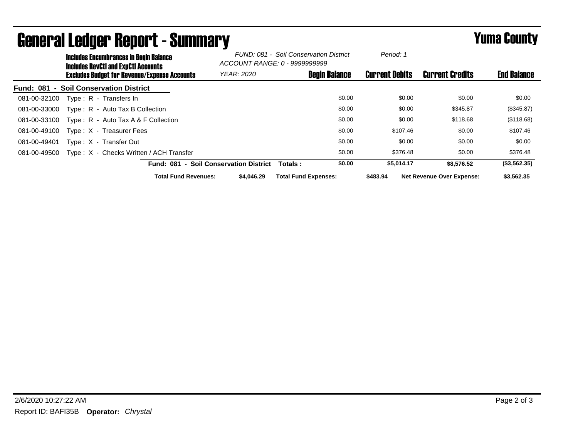|                  | <b>Includes Encumbrances in Begin Balance</b><br><b>Includes RevCtI and ExpCtI Accounts</b> |                                                     | FUND: 081 - Soil Conservation District<br>ACCOUNT RANGE: 0 - 9999999999 |                             | Period: 1             |                                  |                    |
|------------------|---------------------------------------------------------------------------------------------|-----------------------------------------------------|-------------------------------------------------------------------------|-----------------------------|-----------------------|----------------------------------|--------------------|
|                  |                                                                                             | <b>Excludes Budget for Revenue/Expense Accounts</b> | <b>YEAR: 2020</b>                                                       | <b>Begin Balance</b>        | <b>Current Debits</b> | <b>Current Credits</b>           | <b>End Balance</b> |
| <b>Fund: 081</b> |                                                                                             | - Soil Conservation District                        |                                                                         |                             |                       |                                  |                    |
| 081-00-32100     |                                                                                             | Type: R - Transfers In                              |                                                                         | \$0.00                      | \$0.00                | \$0.00                           | \$0.00             |
| 081-00-33000     |                                                                                             | Type: R - Auto Tax B Collection                     |                                                                         | \$0.00                      | \$0.00                | \$345.87                         | (\$345.87)         |
| 081-00-33100     |                                                                                             | Type: $R -$ Auto Tax A & F Collection               |                                                                         | \$0.00                      | \$0.00                | \$118.68                         | (\$118.68)         |
| 081-00-49100     |                                                                                             | Type: X - Treasurer Fees                            |                                                                         | \$0.00                      | \$107.46              | \$0.00                           | \$107.46           |
| 081-00-49401     |                                                                                             | Type: X - Transfer Out                              |                                                                         | \$0.00                      | \$0.00                | \$0.00                           | \$0.00             |
| 081-00-49500     |                                                                                             | Type: X - Checks Written / ACH Transfer             |                                                                         | \$0.00                      | \$376.48              | \$0.00                           | \$376.48           |
|                  |                                                                                             | Fund: 081 - Soil Conservation District              |                                                                         | \$0.00<br>Totals :          | \$5.014.17            | \$8,576.52                       | (\$3,562.35)       |
|                  |                                                                                             | <b>Total Fund Revenues:</b>                         | \$4.046.29                                                              | <b>Total Fund Expenses:</b> | \$483.94              | <b>Net Revenue Over Expense:</b> | \$3,562.35         |

## General Ledger Report - Summary **Example 2018** Yuma County